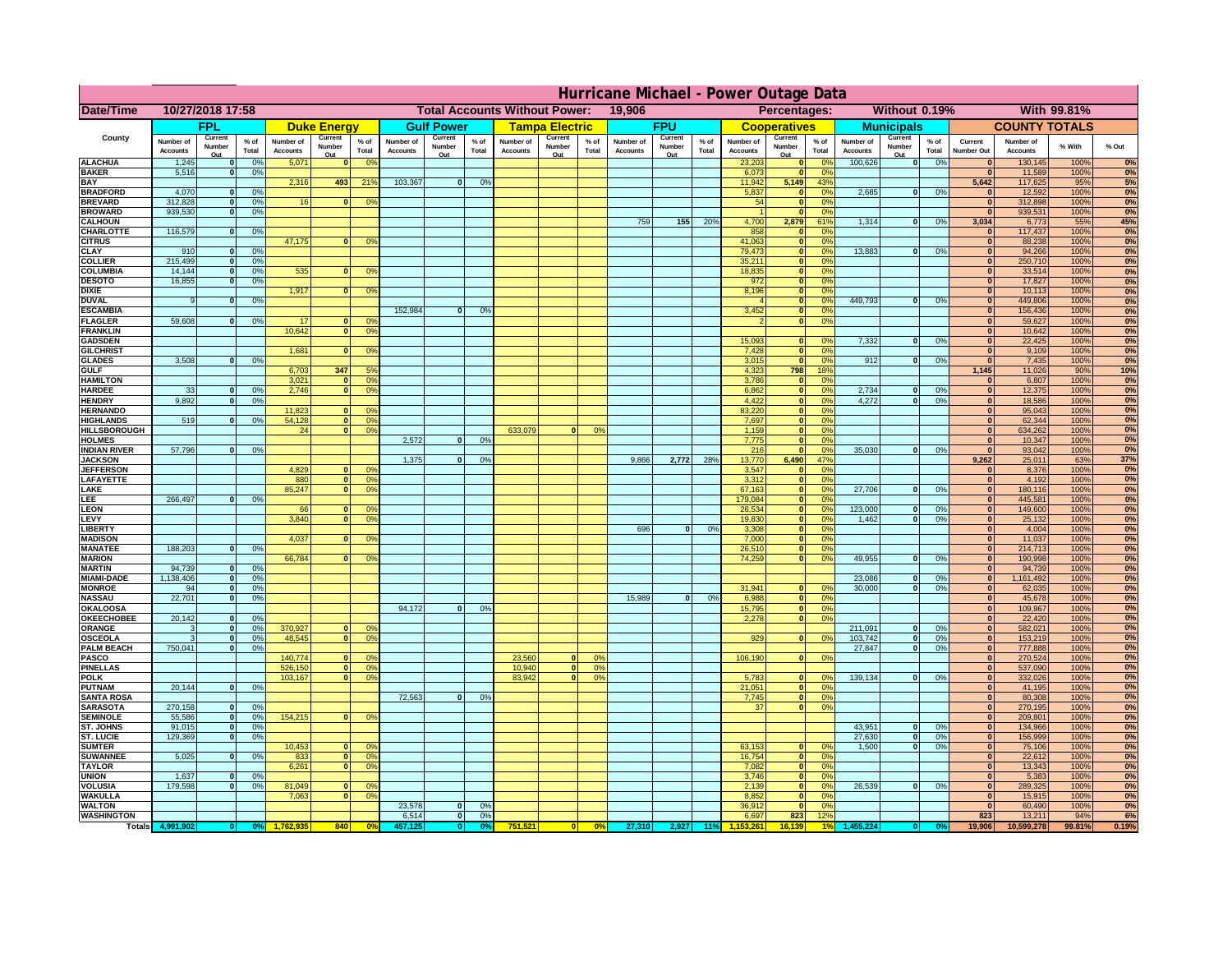|                                      | Hurricane Michael - Power Outage Data |                             |                 |                              |                                                |                                                         |                              |                          |                |                              |                                              |                  |                              |                          |                 |                              |                          |                       |                              |                          |                 |                              |                              |              |           |
|--------------------------------------|---------------------------------------|-----------------------------|-----------------|------------------------------|------------------------------------------------|---------------------------------------------------------|------------------------------|--------------------------|----------------|------------------------------|----------------------------------------------|------------------|------------------------------|--------------------------|-----------------|------------------------------|--------------------------|-----------------------|------------------------------|--------------------------|-----------------|------------------------------|------------------------------|--------------|-----------|
| Date/Time                            | 10/27/2018 17:58                      |                             |                 |                              | <b>Total Accounts Without Power:</b><br>19,906 |                                                         |                              |                          |                |                              | Without 0.19%<br>With 99.81%<br>Percentages: |                  |                              |                          |                 |                              |                          |                       |                              |                          |                 |                              |                              |              |           |
|                                      |                                       | FPL                         |                 |                              | <b>Duke Energy</b>                             |                                                         |                              | <b>Gulf Power</b>        |                |                              | <b>Tampa Electric</b>                        |                  |                              | <b>FPU</b>               |                 |                              | <b>Cooperatives</b>      |                       |                              | <b>Municipals</b>        |                 |                              | <b>COUNTY TOTALS</b>         |              |           |
| County                               | Number of<br><b>Accounts</b>          | Current<br>Number<br>Out    | $%$ of<br>Total | Number of<br><b>Accounts</b> | Current<br>Number<br>Out                       | $%$ of<br>Total                                         | Number of<br><b>Accounts</b> | Current<br>Number<br>Out | % of<br>Total  | Number of<br><b>Accounts</b> | Current<br>Number<br>Out                     | $%$ of<br>Total  | Number of<br><b>Accounts</b> | Current<br>Number<br>Out | $%$ of<br>Total | Number of<br><b>Accounts</b> | Current<br>Number<br>Out | $%$ of<br>Total       | Number of<br><b>Accounts</b> | Current<br>Number<br>Out | $%$ of<br>Total | Current<br><b>Number Out</b> | Number of<br><b>Accounts</b> | % With       | % Out     |
| <b>ALACHUA</b>                       | 1,245                                 | $\mathbf{0}$                | 0%              | 5,071                        | $\bf{0}$                                       | 0 <sup>9</sup>                                          |                              |                          |                |                              |                                              |                  |                              |                          |                 | 23,203                       | 0                        | 0 <sup>9</sup>        | 100,626                      | 0                        | 0%              | $\bf{0}$                     | 130,145                      | 100%         | 0%        |
| <b>BAKER</b>                         | 5,516                                 | 0                           | 0%              |                              |                                                |                                                         | 103,367                      |                          |                |                              |                                              |                  |                              |                          |                 | 6,073                        | 0                        | 0%                    |                              |                          |                 | $\mathbf{0}$                 | 11,589                       | 100%<br>95%  | 0%        |
| <b>BAY</b><br><b>BRADFORD</b>        | 4,070                                 | $\mathbf{0}$                | 0%              | 2,316                        | 493                                            | 219                                                     |                              | 0                        | 0%             |                              |                                              |                  |                              |                          |                 | 11,942<br>5,837              | 5,149<br> 0              | 43%<br>0%             | 2,685                        | 0                        | 0%              | 5,642<br>$\bf{0}$            | 117,625<br>12,592            | 100%         | 5%<br>0%  |
| <b>BREVARD</b>                       | 312,828                               | 0                           | 0%              | 16                           | $\mathbf{0}$                                   | 0 <sup>o</sup>                                          |                              |                          |                |                              |                                              |                  |                              |                          |                 | 54                           | 0                        | 0%                    |                              |                          |                 | 0                            | 312,898                      | 100%         | 0%        |
| <b>BROWARD</b>                       | 939.530                               | 0                           | 0%              |                              |                                                |                                                         |                              |                          |                |                              |                                              |                  |                              |                          |                 |                              | 0                        | 0%                    |                              |                          |                 | $\bf{0}$                     | 939,531                      | 100%         | 0%        |
| <b>CALHOUN</b><br>CHARLOTTE          | 116,579                               | 0                           | 0%              |                              |                                                |                                                         |                              |                          |                |                              |                                              |                  | 759                          | 155                      | 20%             | 4,700<br>858                 | 2,879<br>$\mathbf 0$     | 61%<br>0 <sup>9</sup> | 1,314                        | 0                        | 0%              | 3,034<br>$\bf{0}$            | 6,773<br>117,437             | 55%<br>100%  | 45%<br>0% |
| <b>CITRUS</b>                        |                                       |                             |                 | 47,175                       | $\mathbf{0}$                                   | 0 <sup>o</sup>                                          |                              |                          |                |                              |                                              |                  |                              |                          |                 | 41,063                       | 0                        | 0 <sup>9</sup>        |                              |                          |                 | $\bf{0}$                     | 88,238                       | 100%         | 0%        |
| <b>CLAY</b>                          | 910                                   | $\mathbf{0}$                | 0%              |                              |                                                |                                                         |                              |                          |                |                              |                                              |                  |                              |                          |                 | 79,473                       | 0                        | 0%                    | 13,883                       | $\mathbf{0}$             | 0%              | $\bf{0}$                     | 94,266                       | 100%         | 0%        |
| <b>COLLIER</b>                       | 215,499                               | $\mathbf{0}$                | 0 <sup>9</sup>  |                              |                                                |                                                         |                              |                          |                |                              |                                              |                  |                              |                          |                 | 35,211                       | 0                        | 0%                    |                              |                          |                 | $\bf{0}$                     | 250,710                      | 100%         | 0%        |
| <b>COLUMBIA</b><br><b>DESOTO</b>     | 14,144<br>16,855                      | $\mathbf 0$<br>$\mathbf{0}$ | 0%<br>0%        | 535                          | $\mathbf{0}$                                   | 0 <sup>9</sup>                                          |                              |                          |                |                              |                                              |                  |                              |                          |                 | 18,835<br>972                | 0 <br> 0                 | 0%<br>0%              |                              |                          |                 | $\bf{0}$<br>$\bf{0}$         | 33,514<br>17,827             | 100%<br>100% | 0%<br>0%  |
| <b>DIXIE</b>                         |                                       |                             |                 | 1,917                        | $\mathbf{0}$                                   | 0 <sup>9</sup>                                          |                              |                          |                |                              |                                              |                  |                              |                          |                 | 8,196                        | 0                        | 0%                    |                              |                          |                 | $\Omega$                     | 10,113                       | 100%         | 0%        |
| <b>DUVAL</b>                         | 9                                     | $\Omega$                    | 0%              |                              |                                                |                                                         |                              |                          |                |                              |                                              |                  |                              |                          |                 |                              | 0                        | 0%                    | 449.793                      | $\overline{0}$           | 0%              | $\Omega$                     | 449,806                      | 100%         | 0%        |
| <b>ESCAMBIA</b>                      | 59,608                                |                             |                 | 17                           |                                                |                                                         | 152,984                      | $\mathbf{0}$             | 0 <sup>9</sup> |                              |                                              |                  |                              |                          |                 | 3,452                        | 0                        | 0%<br>0%              |                              |                          |                 | $\Omega$<br>$\bf{0}$         | 156,436                      | 100%         | 0%        |
| <b>FLAGLER</b><br><b>FRANKLIN</b>    |                                       | $\overline{0}$              | 0%              | 10,642                       | $\bf{0}$<br> 0                                 | 0 <sup>o</sup><br>0 <sup>9</sup>                        |                              |                          |                |                              |                                              |                  |                              |                          |                 |                              | 0                        |                       |                              |                          |                 | $\overline{0}$               | 59,627<br>10,642             | 100%<br>100% | 0%<br>0%  |
| <b>GADSDEN</b>                       |                                       |                             |                 |                              |                                                |                                                         |                              |                          |                |                              |                                              |                  |                              |                          |                 | 15,093                       | $\mathbf{0}$             | 0%                    | 7,332                        | 0                        | 0%              | $\overline{0}$               | 22,425                       | 100%         | 0%        |
| <b>GILCHRIST</b>                     |                                       |                             |                 | 1,681                        | $\Omega$                                       | 0 <sup>9</sup>                                          |                              |                          |                |                              |                                              |                  |                              |                          |                 | 7,428                        | 0                        | 0%                    |                              |                          |                 | 0                            | 9,109                        | 100%         | 0%        |
| <b>GLADES</b><br><b>GULF</b>         | 3,508                                 | 0                           | 0%              |                              | 347                                            | 5 <sup>9</sup>                                          |                              |                          |                |                              |                                              |                  |                              |                          |                 | 3,015                        | 0 <br>798                | 0%<br>18%             | 912                          | $\overline{0}$           | 0%              | 0 <br>1,145                  | 7,435                        | 100%<br>90%  | 0%        |
| <b>HAMILTON</b>                      |                                       |                             |                 | 6,703<br>3,021               | $\overline{0}$                                 | 0 <sup>9</sup>                                          |                              |                          |                |                              |                                              |                  |                              |                          |                 | 4,323<br>3,786               | 0                        | 0%                    |                              |                          |                 | $\Omega$                     | 11,026<br>6,807              | 100%         | 10%<br>0% |
| <b>HARDEE</b>                        | 33                                    | $\overline{0}$              | 0%              | 2.746                        |                                                | $\overline{0}$<br>0 <sup>9</sup>                        |                              |                          |                |                              |                                              |                  |                              |                          |                 | 6.862                        | 0                        | 0%                    | 2.734                        | $\mathbf{0}$             | 0%              | 0                            | 12,375                       | 100%         | 0%        |
| <b>HENDRY</b>                        | 9,892                                 | $\Omega$                    | 0%              |                              |                                                |                                                         |                              |                          |                |                              |                                              |                  |                              |                          |                 | 4,422                        | 0                        | 0%                    | 4,272                        | $\Omega$                 | 0%              | 0                            | 18,586                       | 100%         | 0%        |
| <b>HERNANDO</b><br><b>HIGHLANDS</b>  | 519                                   | $\mathbf{0}$                |                 | 11,823<br>54,128             |                                                | 0 <sup>9</sup><br>$\mathbf{0}$<br> 0 <br>0 <sup>9</sup> |                              |                          |                |                              |                                              |                  |                              |                          |                 | 83,220<br>7,697              | 0 <br> 0                 | 0%<br>0%              |                              |                          |                 | $\mathbf{0}$<br>$\mathbf{0}$ | 95,043<br>62,344             | 100%<br>100% | 0%<br>0%  |
| <b>HILLSBOROUGH</b>                  |                                       |                             | 0 <sup>9</sup>  | 24                           |                                                | 0 <br>0 <sup>9</sup>                                    |                              |                          |                | 633,079                      |                                              | 0%               |                              |                          |                 | 1,159                        | 0                        | 0%                    |                              |                          |                 | $\mathbf{0}$                 | 634,262                      | 100%         | 0%        |
| <b>HOLMES</b>                        |                                       |                             |                 |                              |                                                |                                                         | 2.572                        | $\mathbf{0}$             | 0%             |                              |                                              |                  |                              |                          |                 | 7,775                        | 0                        | 0%                    |                              |                          |                 | $\mathbf{0}$                 | 10,347                       | 100%         | 0%        |
| <b>INDIAN RIVER</b>                  | 57,796                                | $\mathbf{0}$                | 0%              |                              |                                                |                                                         |                              |                          |                |                              |                                              |                  |                              |                          |                 | 216                          | 0                        | 0%                    | 35,030                       | $\mathbf{0}$             | 0%              | $\mathbf{0}$                 | 93,042                       | 100%         | 0%        |
| <b>JACKSON</b><br><b>JEFFERSON</b>   |                                       |                             |                 | 4.829                        |                                                | n l<br>0 <sup>9</sup>                                   | 1.375                        | $\mathbf{0}$             | 0 <sup>9</sup> |                              |                                              |                  | 9,866                        | 2.772                    | 28%             | 13,770<br>3.547              | 6.490<br> 0              | 47%<br>0%             |                              |                          |                 | 9.262<br>$\mathbf{0}$        | 25,011<br>8,376              | 63%<br>100%  | 37%<br>0% |
| LAFAYETTE                            |                                       |                             |                 | 880                          |                                                | 0 <br>0 <sup>9</sup>                                    |                              |                          |                |                              |                                              |                  |                              |                          |                 | 3.312                        | 0                        | 0%                    |                              |                          |                 | 0                            | 4,192                        | 100%         | 0%        |
| LAKE                                 |                                       |                             |                 | 85,247                       |                                                | $\mathbf{0}$<br>0 <sup>9</sup>                          |                              |                          |                |                              |                                              |                  |                              |                          |                 | 67,163                       | 0                        | 0%                    | 27,706                       | $\Omega$                 | 0%              | 0                            | 180,116                      | 100%         | 0%        |
| EE.                                  | 266,497                               | 0                           | 0%              |                              |                                                |                                                         |                              |                          |                |                              |                                              |                  |                              |                          |                 | 179,084                      | 0                        | 0%                    |                              |                          |                 | 0                            | 445,581                      | 100%         | 0%        |
| LEON<br>LEVY                         |                                       |                             |                 | 66<br>3,840                  | $\Omega$                                       | $\mathbf{0}$<br>0 <sup>o</sup><br>0 <sup>9</sup>        |                              |                          |                |                              |                                              |                  |                              |                          |                 | 26,534<br>19,830             | 0 <br> 0                 | 0%<br>0%              | 123,000<br>1,462             | $\mathbf{0}$<br>0        | 0%<br>0%        | 0 <br> 0                     | 149,600<br>25,132            | 100%<br>100% | 0%<br>0%  |
| LIBERTY                              |                                       |                             |                 |                              |                                                |                                                         |                              |                          |                |                              |                                              |                  | 696                          | $\Omega$                 | 0%              | 3,308                        | 0                        | 0%                    |                              |                          |                 | 0                            | 4,004                        | 100%         | 0%        |
| <b>MADISON</b>                       |                                       |                             |                 | 4,037                        | $\Omega$                                       | 0 <sup>9</sup>                                          |                              |                          |                |                              |                                              |                  |                              |                          |                 | 7,000                        | 0                        | 0%                    |                              |                          |                 | 0                            | 11,037                       | 100%         | 0%        |
| <b>MANATEE</b>                       | 188,203                               | 0                           | 0%              |                              |                                                |                                                         |                              |                          |                |                              |                                              |                  |                              |                          |                 | 26,510                       | 0                        | 0%                    |                              |                          |                 | 0                            | 214,713                      | 100%         | 0%        |
| <b>MARION</b><br><b>MARTIN</b>       | 94,739                                | 0                           | 0%              | 66,784                       | $\Omega$                                       | 0 <sup>9</sup>                                          |                              |                          |                |                              |                                              |                  |                              |                          |                 | 74,259                       | 0                        | 0%                    | 49,955                       | $\Omega$                 | 0%              | 0 <br> 0                     | 190,998<br>94,739            | 100%<br>100% | 0%<br>0%  |
| <b>MIAMI-DADE</b>                    | 1,138,406                             | 0                           | 0%              |                              |                                                |                                                         |                              |                          |                |                              |                                              |                  |                              |                          |                 |                              |                          |                       | 23,086                       | $\mathbf{0}$             | 0%              | 0                            | 1,161,492                    | 100%         | 0%        |
| <b>MONROE</b>                        | 94                                    | 0                           | 0%              |                              |                                                |                                                         |                              |                          |                |                              |                                              |                  |                              |                          |                 | 31,941                       | $\overline{0}$           | 0 <sup>9</sup>        | 30,000                       | 0                        | 0%              | 0                            | 62,035                       | 100%         | 0%        |
| <b>NASSAU</b>                        | 22,701                                | 0                           | 0%              |                              |                                                |                                                         |                              |                          |                |                              |                                              |                  | 15,989                       | 0                        | 0%              | 6,988                        | 0                        | 0%                    |                              |                          |                 | 0                            | 45,678                       | 100%         | 0%        |
| <b>OKALOOSA</b><br><b>OKEECHOBEE</b> | 20,142                                | 0                           | 0%              |                              |                                                |                                                         | 94,172                       | $\mathbf{0}$             | 0%             |                              |                                              |                  |                              |                          |                 | 15,795<br>2,278              | 0                        | 0%<br>0%<br> 0        |                              |                          |                 | 0 <br> 0                     | 109,967<br>22,420            | 100%<br>100% | 0%<br>0%  |
| ORANGE                               | 3                                     | 0                           | 0%              | 370,927                      |                                                | 0 <br>0 <sup>o</sup>                                    |                              |                          |                |                              |                                              |                  |                              |                          |                 |                              |                          |                       | 211,091                      | $\mathbf{0}$             | 0%              | 0                            | 582,021                      | 100%         | 0%        |
| <b>OSCEOLA</b>                       | 3                                     | 0                           | 0%              | 48,545                       |                                                | 0 <sup>9</sup><br> 0                                    |                              |                          |                |                              |                                              |                  |                              |                          |                 | 929                          |                          | 0 <br>0%              | 103,742                      | 0                        | 0%              | 0                            | 153,219                      | 100%         | 0%        |
| <b>PALM BEACH</b>                    | 750,041                               |                             | 0 <br>0%        |                              |                                                |                                                         |                              |                          |                |                              |                                              |                  |                              |                          |                 |                              |                          |                       | 27,847                       | $\overline{\mathbf{0}}$  | 0%              | 0                            | 777,888                      | 100%         | 0%        |
| <b>PASCO</b><br><b>PINELLAS</b>      |                                       |                             |                 | 140,774<br>526,150           |                                                | 0 <sup>9</sup><br>$\Omega$<br>0 <sup>9</sup><br> 0      |                              |                          |                | 23,560<br>10,940             | $\Omega$<br> 0                               | $^{\circ}$<br>0% |                              |                          |                 | 106,190                      |                          | 0 <br>0%              |                              |                          |                 | 0 <br>$\mathbf{0}$           | 270,524<br>537,090           | 100%<br>100% | 0%<br>0%  |
| <b>POLK</b>                          |                                       |                             |                 | 103,167                      |                                                | 0 <sup>9</sup><br> 0                                    |                              |                          |                | 83,942                       | $\mathbf{a}$                                 | 0%               |                              |                          |                 | 5,783                        | 0                        | $\Omega$              | 139,134                      | 0                        | 0%              | 0                            | 332,026                      | 100%         | 0%        |
| <b>PUTNAM</b>                        | 20,144                                | 0                           | 0%              |                              |                                                |                                                         |                              |                          |                |                              |                                              |                  |                              |                          |                 | 21,051                       | $\ddot{\textbf{0}}$      | 0%                    |                              |                          |                 | $\bf{0}$                     | 41,195                       | 100%         | 0%        |
| <b>SANTA ROSA</b><br><b>SARASOTA</b> | 270,158                               | 0                           | 0%              |                              |                                                |                                                         | 72,563                       | 0                        | 0%             |                              |                                              |                  |                              |                          |                 | 7,745<br>37                  | 0                        | 0%<br> 0 <br>0%       |                              |                          |                 | $\mathbf{0}$<br> 0           | 80,308<br>270,195            | 100%<br>100% | 0%<br>0%  |
| <b>SEMINOLE</b>                      | 55,586                                | 0                           | 0%              | 154,215                      |                                                | $\mathbf{0}$<br>0 <sup>9</sup>                          |                              |                          |                |                              |                                              |                  |                              |                          |                 |                              |                          |                       |                              |                          |                 | 0                            | 209,801                      | 100%         | 0%        |
| ST. JOHNS                            | 91,015                                | 0                           | 0%              |                              |                                                |                                                         |                              |                          |                |                              |                                              |                  |                              |                          |                 |                              |                          |                       | 43,951                       | -ol                      | 0%              | 0                            | 134,966                      | 100%         | 0%        |
| <b>ST. LUCIE</b>                     | 129.369                               | $\mathbf{0}$                | 0%              |                              |                                                |                                                         |                              |                          |                |                              |                                              |                  |                              |                          |                 |                              |                          |                       | 27.630                       | - O I                    | 0%              | 0                            | 156,999                      | 100%         | 0%        |
| <b>SUMTER</b>                        |                                       |                             |                 | 10,453                       |                                                | $\overline{0}$<br>0 <sup>9</sup>                        |                              |                          |                |                              |                                              |                  |                              |                          |                 | 63,153                       | 0                        | 0%                    | 1.500                        | 0                        | 0%              | 0 <br>$\mathbf{0}$           | 75,106                       | 100%         | 0%        |
| <b>SUWANNEE</b><br><b>TAYLOR</b>     | 5,025                                 | 0                           | 0%              | 833<br>6,261                 | 0                                              | 0 <sup>o</sup><br> 0 <br>0 <sup>9</sup>                 |                              |                          |                |                              |                                              |                  |                              |                          |                 | 16,754<br>7,082              | 0 <br> 0                 | 0%<br>0%              |                              |                          |                 | $\bf{0}$                     | 22,612<br>13,343             | 100%<br>100% | 0%<br>0%  |
| <b>UNION</b>                         | 1,637                                 | $\mathbf{0}$                | 0%              |                              |                                                |                                                         |                              |                          |                |                              |                                              |                  |                              |                          |                 | 3,746                        | 0                        | 0%                    |                              |                          |                 | $\bf{0}$                     | 5,383                        | 100%         | 0%        |
| <b>VOLUSIA</b>                       | 179,598                               | 0                           | 0%              | 81,049                       | $\mathbf{0}$                                   | $\mathbf{0}$                                            |                              |                          |                |                              |                                              |                  |                              |                          |                 | 2,139                        | 0                        | 0%                    | 26,539                       | 0                        | 0%              | $\bf{0}$                     | 289,325                      | 100%         | 0%        |
| <b>WAKULLA</b><br><b>WALTON</b>      |                                       |                             |                 | 7,063                        | $\mathbf{0}$                                   | 0 <sup>9</sup>                                          | 23,578                       | $\mathbf{0}$             | 0%             |                              |                                              |                  |                              |                          |                 | 8,852<br>36,912              | 0 <br> 0                 | 0%<br>0%              |                              |                          |                 | $\mathbf{0}$<br>$\mathbf{0}$ | 15,915                       | 100%<br>100% | 0%<br>0%  |
| <b>WASHINGTON</b>                    |                                       |                             |                 |                              |                                                |                                                         | 6,514                        | 0                        | 0%             |                              |                                              |                  |                              |                          |                 | 6,697                        | 823                      | 12%                   |                              |                          |                 | 823                          | 60,490<br>13,211             | 94%          | 6%        |
| <b>Totals</b>                        |                                       |                             |                 |                              | 840                                            | 0 <sup>6</sup>                                          |                              | $\bullet$                |                | 751,521                      | 0                                            | $\frac{1}{2}$    | 27,310                       | 2,927                    | 11%             |                              | 6.139                    |                       |                              |                          |                 | 19,906                       | 10,599,278                   | 99.81%       | 0.19%     |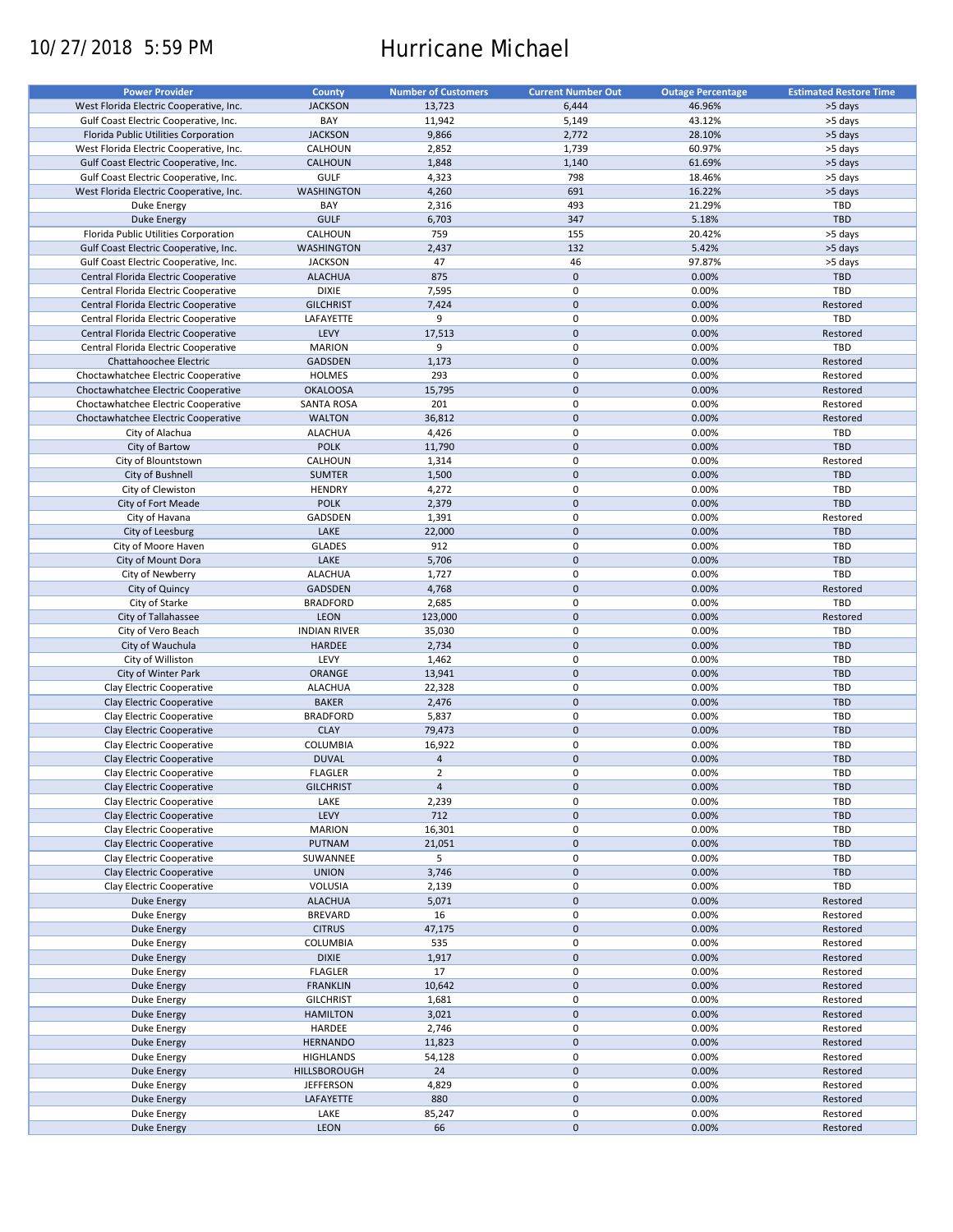# 10/27/2018 5:59 PM Hurricane Michael

| <b>Power Provider</b>                   | <b>County</b>       | <b>Number of Customers</b> | <b>Current Number Out</b> | <b>Outage Percentage</b> | <b>Estimated Restore Time</b> |
|-----------------------------------------|---------------------|----------------------------|---------------------------|--------------------------|-------------------------------|
| West Florida Electric Cooperative, Inc. | <b>JACKSON</b>      | 13,723                     | 6,444                     | 46.96%                   | >5 days                       |
|                                         |                     |                            |                           |                          |                               |
| Gulf Coast Electric Cooperative, Inc.   | BAY                 | 11,942                     | 5,149                     | 43.12%                   | >5 days                       |
| Florida Public Utilities Corporation    | <b>JACKSON</b>      | 9,866                      | 2,772                     | 28.10%                   | >5 days                       |
| West Florida Electric Cooperative, Inc. | CALHOUN             | 2,852                      | 1,739                     | 60.97%                   | >5 days                       |
| Gulf Coast Electric Cooperative, Inc.   | CALHOUN             | 1,848                      | 1,140                     | 61.69%                   | >5 days                       |
| Gulf Coast Electric Cooperative, Inc.   | GULF                | 4,323                      | 798                       | 18.46%                   | >5 days                       |
| West Florida Electric Cooperative, Inc. | <b>WASHINGTON</b>   | 4,260                      | 691                       | 16.22%                   | >5 days                       |
| Duke Energy                             | BAY                 | 2,316                      | 493                       | 21.29%                   | TBD                           |
| <b>Duke Energy</b>                      | <b>GULF</b>         | 6,703                      | 347                       | 5.18%                    | TBD                           |
| Florida Public Utilities Corporation    | CALHOUN             | 759                        | 155                       | 20.42%                   | >5 days                       |
|                                         |                     |                            |                           |                          |                               |
| Gulf Coast Electric Cooperative, Inc.   | <b>WASHINGTON</b>   | 2,437                      | 132                       | 5.42%                    | >5 days                       |
| Gulf Coast Electric Cooperative, Inc.   | <b>JACKSON</b>      | 47                         | 46                        | 97.87%                   | >5 days                       |
| Central Florida Electric Cooperative    | <b>ALACHUA</b>      | 875                        | $\mathbf 0$               | 0.00%                    | <b>TBD</b>                    |
| Central Florida Electric Cooperative    | <b>DIXIE</b>        | 7,595                      | 0                         | 0.00%                    | TBD                           |
| Central Florida Electric Cooperative    | <b>GILCHRIST</b>    | 7,424                      | $\mathbf 0$               | 0.00%                    | Restored                      |
| Central Florida Electric Cooperative    | LAFAYETTE           | 9                          | $\pmb{0}$                 | 0.00%                    | TBD                           |
| Central Florida Electric Cooperative    | LEVY                | 17,513                     | $\mathbf 0$               | 0.00%                    | Restored                      |
| Central Florida Electric Cooperative    | <b>MARION</b>       | 9                          | $\pmb{0}$                 | 0.00%                    | TBD                           |
| Chattahoochee Electric                  | <b>GADSDEN</b>      | 1,173                      | $\mathbf 0$               | 0.00%                    |                               |
|                                         |                     |                            |                           |                          | Restored                      |
| Choctawhatchee Electric Cooperative     | <b>HOLMES</b>       | 293                        | $\pmb{0}$                 | 0.00%                    | Restored                      |
| Choctawhatchee Electric Cooperative     | <b>OKALOOSA</b>     | 15,795                     | $\mathbf 0$               | 0.00%                    | Restored                      |
| Choctawhatchee Electric Cooperative     | <b>SANTA ROSA</b>   | 201                        | $\pmb{0}$                 | 0.00%                    | Restored                      |
| Choctawhatchee Electric Cooperative     | <b>WALTON</b>       | 36,812                     | $\mathbf 0$               | 0.00%                    | Restored                      |
| City of Alachua                         | <b>ALACHUA</b>      | 4,426                      | $\pmb{0}$                 | 0.00%                    | TBD                           |
| City of Bartow                          | <b>POLK</b>         | 11,790                     | $\mathbf 0$               | 0.00%                    | TBD                           |
| City of Blountstown                     | CALHOUN             | 1,314                      | $\pmb{0}$                 | 0.00%                    | Restored                      |
|                                         |                     |                            |                           |                          |                               |
| City of Bushnell                        | <b>SUMTER</b>       | 1,500                      | $\mathbf 0$               | 0.00%                    | <b>TBD</b>                    |
| City of Clewiston                       | <b>HENDRY</b>       | 4,272                      | $\mathbf 0$               | 0.00%                    | TBD                           |
| City of Fort Meade                      | <b>POLK</b>         | 2,379                      | $\mathbf 0$               | 0.00%                    | <b>TBD</b>                    |
| City of Havana                          | GADSDEN             | 1,391                      | $\mathbf 0$               | 0.00%                    | Restored                      |
| City of Leesburg                        | LAKE                | 22,000                     | $\mathbf 0$               | 0.00%                    | <b>TBD</b>                    |
| City of Moore Haven                     | <b>GLADES</b>       | 912                        | 0                         | 0.00%                    | TBD                           |
| City of Mount Dora                      | LAKE                | 5,706                      | $\mathbf 0$               | 0.00%                    | <b>TBD</b>                    |
| City of Newberry                        | <b>ALACHUA</b>      | 1,727                      | $\pmb{0}$                 | 0.00%                    | TBD                           |
|                                         |                     |                            |                           |                          |                               |
| City of Quincy                          | <b>GADSDEN</b>      | 4,768                      | $\mathbf 0$               | 0.00%                    | Restored                      |
| City of Starke                          | <b>BRADFORD</b>     | 2,685                      | 0                         | 0.00%                    | TBD                           |
| City of Tallahassee                     | <b>LEON</b>         | 123,000                    | $\mathbf 0$               | 0.00%                    | Restored                      |
| City of Vero Beach                      | <b>INDIAN RIVER</b> | 35,030                     | $\pmb{0}$                 | 0.00%                    | TBD                           |
| City of Wauchula                        | <b>HARDEE</b>       | 2,734                      | $\pmb{0}$                 | 0.00%                    | <b>TBD</b>                    |
| City of Williston                       | LEVY                | 1,462                      | 0                         | 0.00%                    | TBD                           |
| City of Winter Park                     | ORANGE              | 13,941                     | $\mathbf 0$               | 0.00%                    | <b>TBD</b>                    |
| Clay Electric Cooperative               | <b>ALACHUA</b>      | 22,328                     | $\pmb{0}$                 | 0.00%                    | TBD                           |
|                                         | <b>BAKER</b>        |                            | $\mathbf 0$               | 0.00%                    | <b>TBD</b>                    |
| Clay Electric Cooperative               |                     | 2,476                      |                           |                          |                               |
| Clay Electric Cooperative               | <b>BRADFORD</b>     | 5,837                      | 0                         | 0.00%                    | TBD                           |
| Clay Electric Cooperative               | <b>CLAY</b>         | 79,473                     | $\mathbf 0$               | 0.00%                    | <b>TBD</b>                    |
| Clay Electric Cooperative               | COLUMBIA            | 16,922                     | $\pmb{0}$                 | 0.00%                    | TBD                           |
| Clay Electric Cooperative               | <b>DUVAL</b>        | $\overline{4}$             | $\mathbf 0$               | 0.00%                    | <b>TBD</b>                    |
| Clay Electric Cooperative               | <b>FLAGLER</b>      | $\overline{2}$             | $\mathbf 0$               | 0.00%                    | <b>TBD</b>                    |
| Clay Electric Cooperative               | <b>GILCHRIST</b>    | $\overline{4}$             | $\mathsf{O}\xspace$       | 0.00%                    | <b>TBD</b>                    |
| Clay Electric Cooperative               | LAKE                | 2,239                      | $\pmb{0}$                 | 0.00%                    | TBD                           |
|                                         |                     |                            |                           |                          |                               |
| Clay Electric Cooperative               | LEVY                | 712                        | $\pmb{0}$                 | 0.00%                    | <b>TBD</b>                    |
| Clay Electric Cooperative               | <b>MARION</b>       | 16,301                     | 0                         | 0.00%                    | TBD                           |
| Clay Electric Cooperative               | PUTNAM              | 21,051                     | $\pmb{0}$                 | 0.00%                    | <b>TBD</b>                    |
| Clay Electric Cooperative               | SUWANNEE            | 5                          | 0                         | 0.00%                    | TBD                           |
| Clay Electric Cooperative               | <b>UNION</b>        | 3,746                      | $\pmb{0}$                 | 0.00%                    | <b>TBD</b>                    |
| Clay Electric Cooperative               | VOLUSIA             | 2,139                      | 0                         | 0.00%                    | TBD                           |
| Duke Energy                             | <b>ALACHUA</b>      | 5,071                      | $\pmb{0}$                 | 0.00%                    | Restored                      |
| Duke Energy                             | <b>BREVARD</b>      | 16                         | $\pmb{0}$                 | 0.00%                    | Restored                      |
|                                         |                     |                            |                           |                          |                               |
| Duke Energy                             | <b>CITRUS</b>       | 47,175                     | $\pmb{0}$                 | 0.00%                    | Restored                      |
| Duke Energy                             | <b>COLUMBIA</b>     | 535                        | 0                         | 0.00%                    | Restored                      |
| Duke Energy                             | <b>DIXIE</b>        | 1,917                      | $\mathsf{O}\xspace$       | 0.00%                    | Restored                      |
| Duke Energy                             | <b>FLAGLER</b>      | 17                         | 0                         | 0.00%                    | Restored                      |
| <b>Duke Energy</b>                      | <b>FRANKLIN</b>     | 10,642                     | $\pmb{0}$                 | 0.00%                    | Restored                      |
| Duke Energy                             | <b>GILCHRIST</b>    | 1,681                      | 0                         | 0.00%                    | Restored                      |
| <b>Duke Energy</b>                      | <b>HAMILTON</b>     | 3,021                      | $\pmb{0}$                 | 0.00%                    | Restored                      |
|                                         |                     |                            |                           |                          |                               |
| Duke Energy                             | HARDEE              | 2,746                      | $\pmb{0}$                 | 0.00%                    | Restored                      |
| <b>Duke Energy</b>                      | <b>HERNANDO</b>     | 11,823                     | $\pmb{0}$                 | 0.00%                    | Restored                      |
| Duke Energy                             | <b>HIGHLANDS</b>    | 54,128                     | $\pmb{0}$                 | 0.00%                    | Restored                      |
| <b>Duke Energy</b>                      | <b>HILLSBOROUGH</b> | 24                         | $\pmb{0}$                 | 0.00%                    | Restored                      |
| Duke Energy                             | <b>JEFFERSON</b>    | 4,829                      | $\pmb{0}$                 | 0.00%                    | Restored                      |
| <b>Duke Energy</b>                      | LAFAYETTE           | 880                        | $\pmb{0}$                 | 0.00%                    | Restored                      |
| Duke Energy                             | LAKE                | 85,247                     | $\pmb{0}$                 | 0.00%                    | Restored                      |
|                                         |                     |                            |                           |                          |                               |
| Duke Energy                             | LEON                | 66                         | $\pmb{0}$                 | 0.00%                    | Restored                      |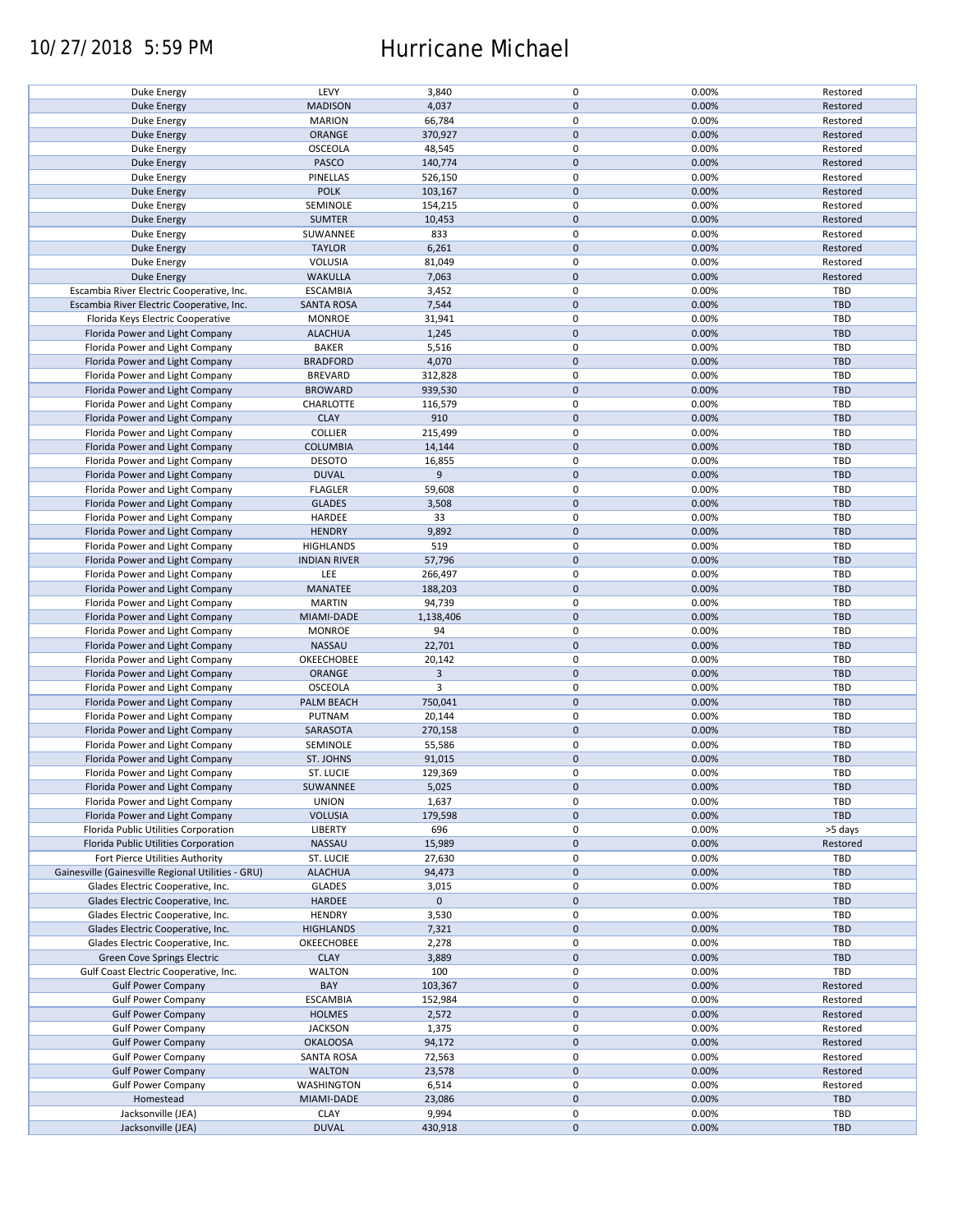## 10/27/2018 5:59 PM Hurricane Michael

| Duke Energy                                        | LEVY                | 3,840          | $\pmb{0}$           | 0.00% | Restored   |
|----------------------------------------------------|---------------------|----------------|---------------------|-------|------------|
|                                                    |                     |                |                     |       |            |
| <b>Duke Energy</b>                                 | <b>MADISON</b>      | 4,037          | $\mathbf 0$         | 0.00% | Restored   |
| Duke Energy                                        | <b>MARION</b>       | 66,784         | 0                   | 0.00% | Restored   |
| <b>Duke Energy</b>                                 | ORANGE              | 370,927        | $\mathbf 0$         | 0.00% | Restored   |
|                                                    |                     |                |                     |       |            |
| Duke Energy                                        | <b>OSCEOLA</b>      | 48,545         | $\pmb{0}$           | 0.00% | Restored   |
| <b>Duke Energy</b>                                 | PASCO               | 140,774        | $\mathbf 0$         | 0.00% | Restored   |
|                                                    |                     |                |                     |       |            |
| Duke Energy                                        | PINELLAS            | 526,150        | $\pmb{0}$           | 0.00% | Restored   |
| <b>Duke Energy</b>                                 | <b>POLK</b>         | 103,167        | $\mathbf 0$         | 0.00% | Restored   |
|                                                    |                     |                |                     |       |            |
| Duke Energy                                        | SEMINOLE            | 154,215        | $\pmb{0}$           | 0.00% | Restored   |
| <b>Duke Energy</b>                                 | <b>SUMTER</b>       | 10,453         | $\mathbf 0$         | 0.00% | Restored   |
|                                                    |                     |                |                     |       |            |
| Duke Energy                                        | SUWANNEE            | 833            | 0                   | 0.00% | Restored   |
| <b>Duke Energy</b>                                 | <b>TAYLOR</b>       | 6,261          | $\mathbf 0$         | 0.00% | Restored   |
|                                                    |                     |                |                     |       |            |
| Duke Energy                                        | <b>VOLUSIA</b>      | 81,049         | $\pmb{0}$           | 0.00% | Restored   |
| <b>Duke Energy</b>                                 | <b>WAKULLA</b>      | 7,063          | $\mathbf 0$         | 0.00% | Restored   |
|                                                    |                     |                |                     |       |            |
| Escambia River Electric Cooperative, Inc.          | <b>ESCAMBIA</b>     | 3,452          | $\pmb{0}$           | 0.00% | TBD        |
| Escambia River Electric Cooperative, Inc.          | <b>SANTA ROSA</b>   | 7,544          | $\pmb{0}$           | 0.00% | <b>TBD</b> |
|                                                    |                     |                |                     |       |            |
| Florida Keys Electric Cooperative                  | <b>MONROE</b>       | 31,941         | $\pmb{0}$           | 0.00% | TBD        |
| Florida Power and Light Company                    | <b>ALACHUA</b>      | 1,245          | $\pmb{0}$           | 0.00% | <b>TBD</b> |
|                                                    |                     |                |                     |       |            |
| Florida Power and Light Company                    | <b>BAKER</b>        | 5,516          | $\pmb{0}$           | 0.00% | <b>TBD</b> |
| Florida Power and Light Company                    | <b>BRADFORD</b>     | 4,070          | $\pmb{0}$           | 0.00% | <b>TBD</b> |
|                                                    |                     |                |                     |       |            |
| Florida Power and Light Company                    | <b>BREVARD</b>      | 312,828        | 0                   | 0.00% | <b>TBD</b> |
| Florida Power and Light Company                    | <b>BROWARD</b>      | 939,530        | $\pmb{0}$           | 0.00% | <b>TBD</b> |
|                                                    |                     |                |                     |       |            |
| Florida Power and Light Company                    | CHARLOTTE           | 116,579        | 0                   | 0.00% | <b>TBD</b> |
| Florida Power and Light Company                    | <b>CLAY</b>         | 910            | $\pmb{0}$           | 0.00% | <b>TBD</b> |
|                                                    |                     |                |                     |       |            |
| Florida Power and Light Company                    | <b>COLLIER</b>      | 215,499        | $\pmb{0}$           | 0.00% | <b>TBD</b> |
|                                                    |                     |                | $\pmb{0}$           | 0.00% | <b>TBD</b> |
| Florida Power and Light Company                    | <b>COLUMBIA</b>     | 14,144         |                     |       |            |
| Florida Power and Light Company                    | <b>DESOTO</b>       | 16,855         | $\pmb{0}$           | 0.00% | TBD        |
|                                                    | <b>DUVAL</b>        | 9              | $\mathbf 0$         | 0.00% |            |
| Florida Power and Light Company                    |                     |                |                     |       | <b>TBD</b> |
| Florida Power and Light Company                    | <b>FLAGLER</b>      | 59,608         | $\pmb{0}$           | 0.00% | TBD        |
|                                                    | <b>GLADES</b>       |                | $\mathbf 0$         | 0.00% | <b>TBD</b> |
| Florida Power and Light Company                    |                     | 3,508          |                     |       |            |
| Florida Power and Light Company                    | HARDEE              | 33             | 0                   | 0.00% | <b>TBD</b> |
| Florida Power and Light Company                    | <b>HENDRY</b>       | 9,892          | $\mathbf 0$         | 0.00% | <b>TBD</b> |
|                                                    |                     |                |                     |       |            |
| Florida Power and Light Company                    | <b>HIGHLANDS</b>    | 519            | 0                   | 0.00% | <b>TBD</b> |
|                                                    |                     |                | $\pmb{0}$           |       | <b>TBD</b> |
| Florida Power and Light Company                    | <b>INDIAN RIVER</b> | 57,796         |                     | 0.00% |            |
| Florida Power and Light Company                    | LEE                 | 266,497        | 0                   | 0.00% | TBD        |
|                                                    |                     |                | $\mathbf 0$         |       |            |
| Florida Power and Light Company                    | MANATEE             | 188,203        |                     | 0.00% | <b>TBD</b> |
| Florida Power and Light Company                    | <b>MARTIN</b>       | 94,739         | 0                   | 0.00% | TBD        |
| Florida Power and Light Company                    | MIAMI-DADE          | 1,138,406      | $\mathbf 0$         | 0.00% | <b>TBD</b> |
|                                                    |                     |                |                     |       |            |
| Florida Power and Light Company                    | <b>MONROE</b>       | 94             | $\pmb{0}$           | 0.00% | TBD        |
| Florida Power and Light Company                    | NASSAU              | 22,701         | $\pmb{0}$           | 0.00% | <b>TBD</b> |
|                                                    |                     |                |                     |       |            |
| Florida Power and Light Company                    | OKEECHOBEE          | 20,142         | $\pmb{0}$           | 0.00% | TBD        |
|                                                    |                     | $\overline{3}$ | $\pmb{0}$           | 0.00% | <b>TBD</b> |
| Florida Power and Light Company                    | ORANGE              |                |                     |       |            |
| Florida Power and Light Company                    | OSCEOLA             | 3              | $\pmb{0}$           | 0.00% | <b>TBD</b> |
| Florida Power and Light Company                    | PALM BEACH          | 750,041        | $\pmb{0}$           | 0.00% | <b>TBD</b> |
|                                                    |                     |                |                     |       |            |
| Florida Power and Light Company                    | PUTNAM              | 20,144         | 0                   | 0.00% | <b>TBD</b> |
|                                                    | SARASOTA            | 270,158        | $\mathbf 0$         | 0.00% | <b>TBD</b> |
| Florida Power and Light Company                    |                     |                |                     |       |            |
| Florida Power and Light Company                    | SEMINOLE            | 55,586         | $\pmb{0}$           | 0.00% | <b>TBD</b> |
| Florida Power and Light Company                    | ST. JOHNS           | 91,015         | $\mathbf 0$         | 0.00% | <b>TBD</b> |
|                                                    |                     |                |                     |       |            |
| Florida Power and Light Company                    | ST. LUCIE           | 129,369        | $\mathbf 0$         | 0.00% | TBD        |
|                                                    | SUWANNEE            |                | $\pmb{0}$           | 0.00% | <b>TBD</b> |
| Florida Power and Light Company                    |                     | 5,025          |                     |       |            |
| Florida Power and Light Company                    | <b>UNION</b>        | 1,637          | 0                   | 0.00% | <b>TBD</b> |
| Florida Power and Light Company                    | <b>VOLUSIA</b>      | 179,598        | $\mathsf{O}\xspace$ | 0.00% | TBD        |
|                                                    |                     |                |                     |       |            |
| Florida Public Utilities Corporation               | <b>LIBERTY</b>      | 696            | 0                   | 0.00% | >5 days    |
| Florida Public Utilities Corporation               | NASSAU              | 15,989         | $\mathsf{O}\xspace$ | 0.00% | Restored   |
|                                                    |                     |                |                     |       |            |
| Fort Pierce Utilities Authority                    | ST. LUCIE           | 27,630         | 0                   | 0.00% | <b>TBD</b> |
| Gainesville (Gainesville Regional Utilities - GRU) | <b>ALACHUA</b>      | 94,473         | $\mathsf{O}\xspace$ | 0.00% | TBD        |
|                                                    |                     |                |                     |       |            |
| Glades Electric Cooperative, Inc.                  | <b>GLADES</b>       | 3,015          | 0                   | 0.00% | <b>TBD</b> |
| Glades Electric Cooperative, Inc.                  | HARDEE              | $\mathbf 0$    | $\mathsf{O}\xspace$ |       | <b>TBD</b> |
|                                                    |                     |                |                     |       |            |
| Glades Electric Cooperative, Inc.                  | <b>HENDRY</b>       | 3,530          | 0                   | 0.00% | TBD        |
| Glades Electric Cooperative, Inc.                  | <b>HIGHLANDS</b>    | 7,321          | $\pmb{0}$           | 0.00% | <b>TBD</b> |
|                                                    |                     |                |                     |       |            |
| Glades Electric Cooperative, Inc.                  | OKEECHOBEE          | 2,278          | 0                   | 0.00% | <b>TBD</b> |
| Green Cove Springs Electric                        | <b>CLAY</b>         | 3,889          | $\mathbf 0$         | 0.00% | <b>TBD</b> |
|                                                    |                     |                |                     |       |            |
| Gulf Coast Electric Cooperative, Inc.              | <b>WALTON</b>       | 100            | 0                   | 0.00% | TBD        |
| <b>Gulf Power Company</b>                          | BAY                 | 103,367        | $\pmb{0}$           | 0.00% | Restored   |
|                                                    |                     |                |                     |       |            |
| <b>Gulf Power Company</b>                          | <b>ESCAMBIA</b>     | 152,984        | $\pmb{0}$           | 0.00% | Restored   |
| <b>Gulf Power Company</b>                          | <b>HOLMES</b>       | 2,572          | $\pmb{0}$           | 0.00% | Restored   |
|                                                    |                     |                |                     |       |            |
| <b>Gulf Power Company</b>                          | <b>JACKSON</b>      | 1,375          | $\pmb{0}$           | 0.00% | Restored   |
| <b>Gulf Power Company</b>                          | <b>OKALOOSA</b>     | 94,172         | $\pmb{0}$           | 0.00% | Restored   |
|                                                    |                     |                |                     |       |            |
| <b>Gulf Power Company</b>                          | <b>SANTA ROSA</b>   | 72,563         | $\pmb{0}$           | 0.00% | Restored   |
| <b>Gulf Power Company</b>                          | <b>WALTON</b>       | 23,578         | $\pmb{0}$           | 0.00% | Restored   |
|                                                    |                     |                |                     |       |            |
| <b>Gulf Power Company</b>                          | <b>WASHINGTON</b>   | 6,514          | $\pmb{0}$           | 0.00% | Restored   |
| Homestead                                          | MIAMI-DADE          | 23,086         | $\pmb{0}$           | 0.00% | <b>TBD</b> |
|                                                    |                     |                |                     |       |            |
| Jacksonville (JEA)                                 | <b>CLAY</b>         | 9,994          | 0                   | 0.00% | <b>TBD</b> |
| Jacksonville (JEA)                                 | <b>DUVAL</b>        | 430,918        | $\mathsf{O}\xspace$ | 0.00% | <b>TBD</b> |
|                                                    |                     |                |                     |       |            |